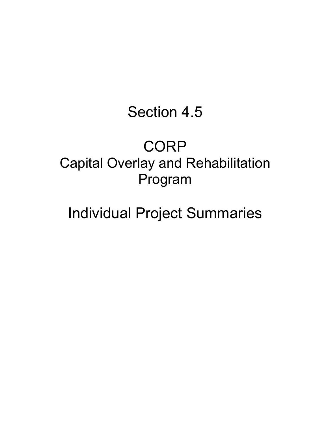# Section 4.5

# **CORP** Capital Overlay and Rehabilitation Program

# Individual Project Summaries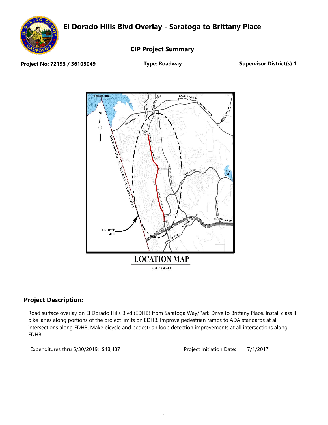**El Dorado Hills Blvd Overlay - Saratoga to Brittany Place**



**CIP Project Summary**

**Project No: 72193 / 36105049 Type: Roadway Supervisor District(s) 1**



## **Project Description:**

Road surface overlay on El Dorado Hills Blvd (EDHB) from Saratoga Way/Park Drive to Brittany Place. Install class II bike lanes along portions of the project limits on EDHB. Improve pedestrian ramps to ADA standards at all intersections along EDHB. Make bicycle and pedestrian loop detection improvements at all intersections along EDHB.

Expenditures thru 6/30/2019: \$48,487 Project Initiation Date: 7/1/2017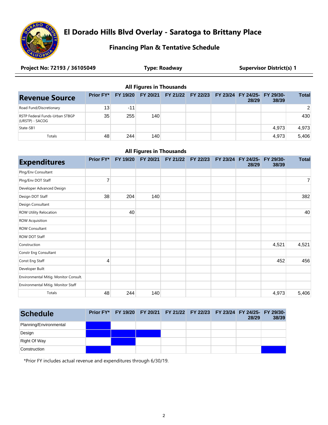

# **El Dorado Hills Blvd Overlay - Saratoga to Brittany Place**

### **Financing Plan & Tentative Schedule**

| Project No: 72193 / 36105049 | <b>Type: Roadway</b> | <b>Supervisor District(s) 1</b> |
|------------------------------|----------------------|---------------------------------|
|                              |                      |                                 |

|  | <b>All Figures in Thousands</b> |
|--|---------------------------------|
|--|---------------------------------|

| <b>Revenue Source</b>                             | <b>Prior FY*</b> | <b>FY 19/20</b> |     | FY 20/21 FY 21/22 FY 22/23 FY 23/24 FY 24/25- FY 29/30- | 28/29 | 38/39 | <b>Total</b>  |
|---------------------------------------------------|------------------|-----------------|-----|---------------------------------------------------------|-------|-------|---------------|
| Road Fund/Discretionary                           | 13               | $-11$           |     |                                                         |       |       | $\mathcal{P}$ |
| RSTP Federal Funds-Urban STBGP<br>(URSTP) - SACOG | 35               | 255             | 140 |                                                         |       |       | 430           |
| State-SB1                                         |                  |                 |     |                                                         |       | 4.973 | 4.973         |
| <b>Totals</b>                                     | 48               | 244             | 140 |                                                         |       | 4.973 | 5.406         |

#### **All Figures in Thousands**

| <b>Expenditures</b>                   | <b>Prior FY*</b> | FY 19/20 | FY 20/21 | FY 21/22 | FY 22/23 | FY 23/24 FY 24/25- FY 29/30-<br>28/29 | 38/39 | <b>Total</b> |
|---------------------------------------|------------------|----------|----------|----------|----------|---------------------------------------|-------|--------------|
| Plng/Env Consultant                   |                  |          |          |          |          |                                       |       |              |
| Plng/Env DOT Staff                    | 7                |          |          |          |          |                                       |       | 7            |
| Developer Advanced Design             |                  |          |          |          |          |                                       |       |              |
| Design DOT Staff                      | 38               | 204      | 140      |          |          |                                       |       | 382          |
| Design Consultant                     |                  |          |          |          |          |                                       |       |              |
| ROW Utility Relocation                |                  | 40       |          |          |          |                                       |       | 40           |
| <b>ROW Acquisition</b>                |                  |          |          |          |          |                                       |       |              |
| <b>ROW Consultant</b>                 |                  |          |          |          |          |                                       |       |              |
| ROW DOT Staff                         |                  |          |          |          |          |                                       |       |              |
| Construction                          |                  |          |          |          |          |                                       | 4,521 | 4,521        |
| Constr Eng Consultant                 |                  |          |          |          |          |                                       |       |              |
| Const Eng Staff                       | 4                |          |          |          |          |                                       | 452   | 456          |
| Developer Built                       |                  |          |          |          |          |                                       |       |              |
| Environmental Mitig. Monitor Consult. |                  |          |          |          |          |                                       |       |              |
| Environmental Mitig. Monitor Staff    |                  |          |          |          |          |                                       |       |              |
| Totals                                | 48               | 244      | 140      |          |          |                                       | 4,973 | 5,406        |

| <b>Schedule</b>        |  | Prior FY* FY 19/20 FY 20/21 FY 21/22 FY 22/23 FY 23/24 FY 24/25- FY 29/30- |  | 28/29 | 38/39 |
|------------------------|--|----------------------------------------------------------------------------|--|-------|-------|
| Planning/Environmental |  |                                                                            |  |       |       |
| Design                 |  |                                                                            |  |       |       |
| Right Of Way           |  |                                                                            |  |       |       |
| Construction           |  |                                                                            |  |       |       |

\*Prior FY includes actual revenue and expenditures through 6/30/19.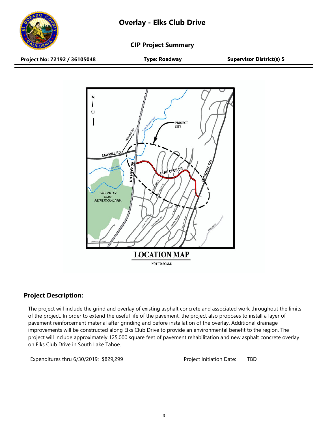

**CIP Project Summary**

**Project No: 72192 / 36105048 Type: Roadway Supervisor District(s) 5**



## **Project Description:**

The project will include the grind and overlay of existing asphalt concrete and associated work throughout the limits of the project. In order to extend the useful life of the pavement, the project also proposes to install a layer of pavement reinforcement material after grinding and before installation of the overlay. Additional drainage improvements will be constructed along Elks Club Drive to provide an environmental benefit to the region. The project will include approximately 125,000 square feet of pavement rehabilitation and new asphalt concrete overlay on Elks Club Drive in South Lake Tahoe.

Expenditures thru 6/30/2019: \$829,299 Project Initiation Date: TBD